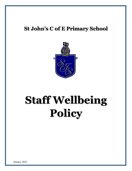# **St John's C of E Primary School**



# **Staff Wellbeing Policy**

January 2022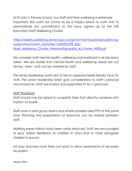At St John's Primary School, our staff and their wellbeing is extremely Important. We want our school to be a happy place to work and to demonstrate our commitment to this have signed up to the DfE Education Staff Wellbeing Charter.

[https://assets.publishing.service.gov.uk/government/uploads/system/up](https://assets.publishing.service.gov.uk/government/uploads/system/uploads/attachment_data/file/1034039/DfE_Edu-Work_Welbeing_Charter_WeHaveSignedUp_A3_Poster_WEB.pdf) [loads/attachment\\_data/file/1034039/DfE\\_Edu-](https://assets.publishing.service.gov.uk/government/uploads/system/uploads/attachment_data/file/1034039/DfE_Edu-Work_Welbeing_Charter_WeHaveSignedUp_A3_Poster_WEB.pdf)Work Welbeing Charter WeHaveSignedUp A3 Poster WEB.pdf

We consider staff mental health, wellbeing and workload in all decisions taken. We are aware that mental health and wellbeing needs are not always 'seen' and can be masked by staff.

The senior leadership team aim to be an approachable friendly face for staff. The senior leadership team give consideration to staff's personal circumstances. Staff are trusted and supported to do a good job.

# Staff Workload

Staff should only be asked to complete tasks that directly correlate with impact on pupils.

Staff work in year group teams and where possible take PPA at the same time. Planning and preparation of resources can be shared between staff.

Marking expectations have been vastly reduced. Staff are encouraged to give verbal feedback to children in class and to mark alongside children in lessons.

All class teachers have their own ipad to allow assessments to be easily recorded.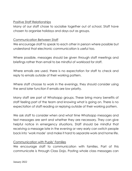# Positive Staff Relationships

Many of our staff chose to socialise together out of school. Staff have chosen to organise holidays and days out as groups.

# Communication Between Staff

We encourage staff to speak to each other in person where possible but understand that electronic communication is useful too.

Where possible, messages should be given through staff meetings and briefings rather than email to be mindful of workload for staff.

Where emails are used, there is no expectation for staff to check and reply to emails outside of their working pattern.

Where staff choose to work in the evenings, they should consider using the send later function if emails are low priority.

Many staff are part of Whatsapp groups. These bring many benefits of staff feeling part of the team and knowing what is going on. There is no expectation of staff reading or replying outside of their working pattern.

We ask staff to consider when and what time Whatsapp messages and text messages are sent and whether they are necessary. They can give helpful notice in emergency situations. Staff should be mindful that receiving a message late in the evening or very early can switch people back into 'work mode' and make it hard to separate work and home life.

### Communication with Pupils' Families

We encourage staff to communication with families. Part of this communicate is through Class Dojo. Posting whole class messages can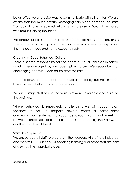be an effective and quick way to communicate with all families. We are aware that too much private messaging can place demands on staff. Staff do not have to reply instantly. Appropriate use of Dojo will be shared with families joining the school.

We encourage all staff on Dojo to use the 'quiet hours' function. This is where a reply flashes up to a parent or carer who messages explaining that it is quiet hours and not to expect a reply.

# Creating a Good Behaviour Culture.

There is shared responsibility for the behaviour of all children in school which is encouraged by our open plan nature. We recognise that challenging behaviour can cause stress for staff.

The Relationships, Reparation and Restoration policy outlines in detail how children's behaviour is managed in school.

We encourage staff to use the various rewards available and build on the positives.

Where behaviour is repeatedly challenging, we will support class teachers to set up bespoke reward charts or parent/carer communication systems. Individual behaviour plans and meetings between school staff and families can also be lead by the SENCO or another member of the SLT.

#### Staff Development

We encourage all staff to progress in their careers. All staff are inducted and access CPD in school. All teaching learning and office staff are part of a supportive appraisal process.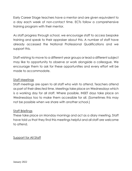Early Career Stage teachers have a mentor and are given equivalent to a day each week of non-contact time. ECTs follow a comprehensive training program with their mentor.

As staff progress through school, we encourage staff to access bespoke training and speak to their appraiser about this. A number of staff have already accessed the National Professional Qualifications and we support this.

Staff wishing to move to a different year groups or lead a different subject may like to opportunity to observe or work alongside a colleague. We encourage them to ask for these opportunities and every effort will be made to accommodate.

# Staff Meetings

Staff meetings are open to all staff who wish to attend. Teachers attend as part of their directed time. Meetings take place on Wednesdays which is a working day for all staff. Where possible, INSET days take place on Wednesdays too to make them accessible for all. (Sometimes this may not be possible when we share with another school.)

### Staff Briefings

These take place on Monday mornings and act as a diary meeting. Staff have told us that they find this meetings helpful and all staff are welcome to attend.

Support for All Staff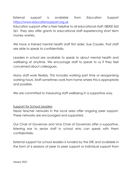External support is available from Education Support [https://www.educationsupport.org.uk](https://www.educationsupport.org.uk/)

Education support offer a free helpline to all educational staff: 08000 562 561. They also offer grants to educational staff experiencing short term money worries.

We have a trained mental health staff first aider, Sue Causier, that staff are able to speak to confidentially.

Leaders in school are available to speak to about mental health and wellbeing at anytime. We encourage staff to speak to us if they feel concerned about colleagues.

Many staff work flexibly. This includes working part time or reorganising working hours. Staff sometimes work from home where this is appropriate and possible.

We are committed to measuring staff wellbeing in a supportive way.

### Support for School Leaders

Head teacher networks in the local area offer ongoing peer support. These networks are encouraged and supported.

Our Chair of Governors and Vice Chair of Governors offer a supportive, listening ear to senior staff in school who can speak with them confidentially.

External support for school leaders is funded by the DfE and available in the form of 6 sessions of peer to peer support or individual support from